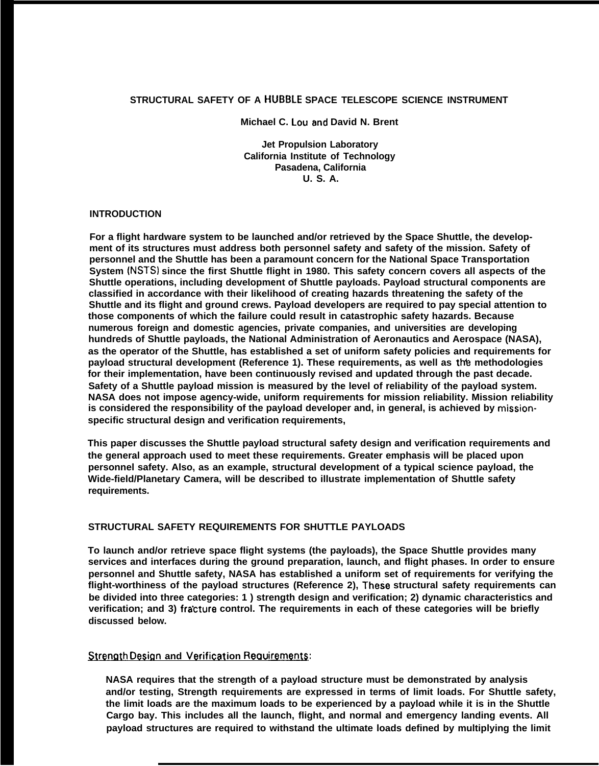# **STRUCTURAL SAFETY OF A HUBBLE SPACE TELESCOPE SCIENCE INSTRUMENT**

**Michael C. Lou and David N. Brent** 

**Jet Propulsion Laboratory California Institute of Technology Pasadena, California U. S. A.**

#### **INTRODUCTION**

**For a flight hardware system to be launched and/or retrieved by the Space Shuttle, the development of its structures must address both personnel safety and safety of the mission. Safety of personnel and the Shuttle has been a paramount concern for the National Space Transportation System (NSTS) since the first Shuttle flight in 1980. This safety concern covers all aspects of the Shuttle operations, including development of Shuttle payloads. Payload structural components are classified in accordance with their likelihood of creating hazards threatening the safety of the Shuttle and its flight and ground crews. Payload developers are required to pay special attention to those components of which the failure could result in catastrophic safety hazards. Because numerous foreign and domestic agencies, private companies, and universities are developing hundreds of Shuttle payloads, the National Administration of Aeronautics and Aerospace (NASA), as the operator of the Shuttle, has established a set of uniform safety policies and requirements for** payload structural development (Reference 1). These requirements, as well as the methodologies **for their implementation, have been continuously revised and updated through the past decade. Safety of a Shuttle payload mission is measured by the level of reliability of the payload system. NASA does not impose agency-wide, uniform requirements for mission reliability. Mission reliability is considered the responsibility of the payload developer and, in general, is achieved by missionspecific structural design and verification requirements,**

**This paper discusses the Shuttle payload structural safety design and verification requirements and the general approach used to meet these requirements. Greater emphasis will be placed upon personnel safety. Also, as an example, structural development of a typical science payload, the Wide-field/Planetary Camera, will be described to illustrate implementation of Shuttle safety requirements.**

# **STRUCTURAL SAFETY REQUIREMENTS FOR SHUTTLE PAYLOADS**

**To launch and/or retrieve space flight systems (the payloads), the Space Shuttle provides many services and interfaces during the ground preparation, launch, and flight phases. In order to ensure personnel and Shuttle safety, NASA has established a uniform set of requirements for verifying the flight-worthiness of the payload structures (Reference 2), These structural safety requirements can be divided into three categories: 1 ) strength design and verification; 2) dynamic characteristics and** verification; and 3) fracture control. The requirements in each of these categories will be briefly **discussed below.**

# $Strenath Design and Verification Reau$  **ignosing**  $R$

**NASA requires that the strength of a payload structure must be demonstrated by analysis and/or testing, Strength requirements are expressed in terms of limit loads. For Shuttle safety, the limit loads are the maximum loads to be experienced by a payload while it is in the Shuttle Cargo bay. This includes all the launch, flight, and normal and emergency landing events. All payload structures are required to withstand the ultimate loads defined by multiplying the limit**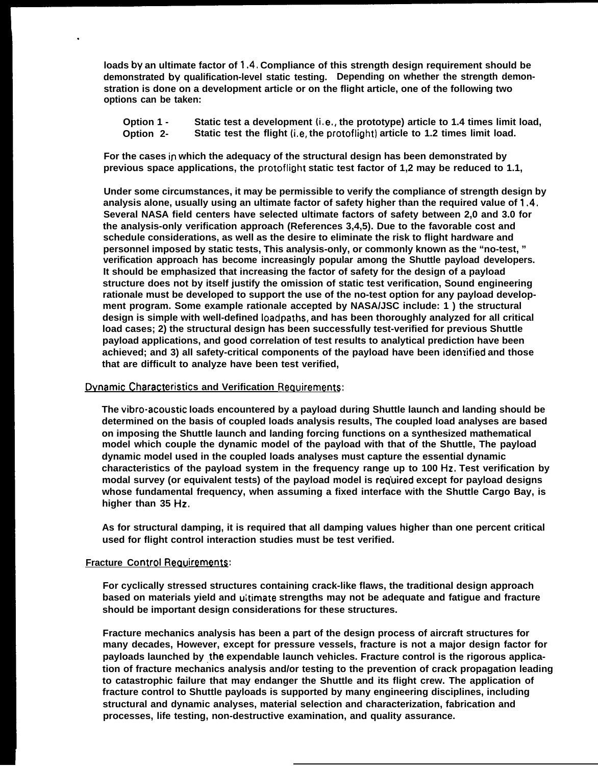**loads by an ultimate factor of 1.4. Compliance of this strength design requirement should be demonstrated by, qualification-level static testing. Depending on whether the strength demonstration is done on a development article or on the flight article, one of the following two options can be taken:**

**Option 1 - Static test a development (i, e,, the prototype) article to 1.4 times limit load, Option 2- Static test the flight (i,e, the protoflight) article to 1.2 times limit load.**

**For the cases in which the adequacy of the structural design has been demonstrated by previous space applications, the protoflight static test factor of 1,2 may be reduced to 1.1,**

**Under some circumstances, it may be permissible to verify the compliance of strength design by analysis alone, usually using an ultimate factor of safety higher than the required value of 1,4, Several NASA field centers have selected ultimate factors of safety between 2,0 and 3.0 for the analysis-only verification approach (References 3,4,5). Due to the favorable cost and schedule considerations, as well as the desire to eliminate the risk to flight hardware and personnel imposed by static tests, This analysis-only, or commonly known as the "no-test, " verification approach has become increasingly popular among the Shuttle payload developers. It should be emphasized that increasing the factor of safety for the design of a payload structure does not by itself justify the omission of static test verification, Sound engineering rationale must be developed to support the use of the no-test option for any payload development program. Some example rationale accepted by NASA/JSC include: 1 ) the structural design is simple with well-defined Ioadpaths, and has been thoroughly analyzed for all critical load cases; 2) the structural design has been successfully test-verified for previous Shuttle payload applications, and good correlation of test results to analytical prediction have been achieved; and 3) all safety-critical components of the payload have been idemified and those that are difficult to analyze have been test verified,**

#### **Dynamic Characteristics and Verification Requirements:**

**The vibro-acoustic loads encountered by a payload during Shuttle launch and landing should be determined on the basis of coupled loads analysis results, The coupled load analyses are based on imposing the Shuttle launch and landing forcing functions on a synthesized mathematical model which couple the dynamic model of the payload with that of the Shuttle, The payload dynamic model used in the coupled loads analyses must capture the essential dynamic characteristics of the payload system in the frequency range up to 100 Hz. Test verification by** modal survey (or equivalent tests) of the payload model is required except for payload designs **whose fundamental frequency, when assuming a fixed interface with the Shuttle Cargo Bay, is higher than 35 Hz,**

**As for structural damping, it is required that all damping values higher than one percent critical used for flight control interaction studies must be test verified.**

## **Fracture Control Requirements:**

.

**For cyclically stressed structures containing crack-like flaws, the traditional design approach based on materials yield and uitimate strengths may not be adequate and fatigue and fracture should be important design considerations for these structures.**

**Fracture mechanics analysis has been a part of the design process of aircraft structures for many decades, However, except for pressure vessels, fracture is not a major design factor for** payloads launched by the expendable launch vehicles. Fracture control is the rigorous applica**tion of fracture mechanics analysis and/or testing to the prevention of crack propagation leading to catastrophic failure that may endanger the Shuttle and its flight crew. The application of fracture control to Shuttle payloads is supported by many engineering disciplines, including structural and dynamic analyses, material selection and characterization, fabrication and processes, life testing, non-destructive examination, and quality assurance.**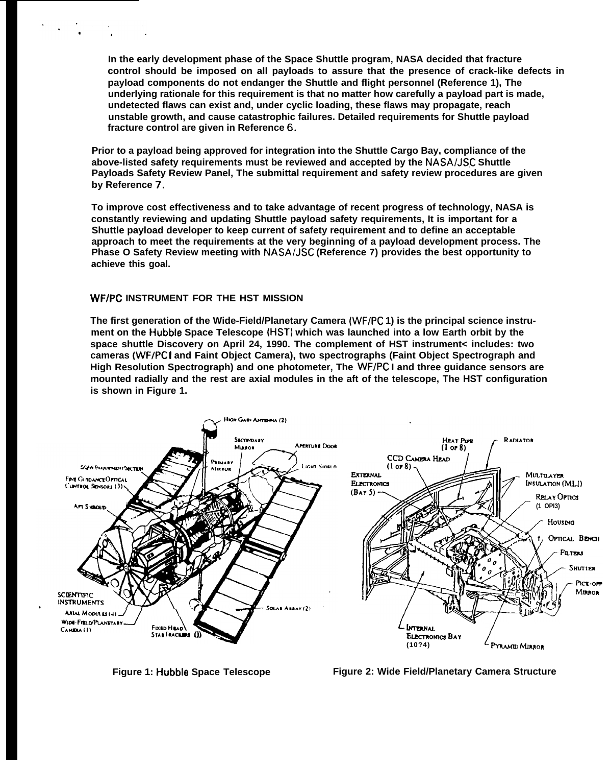**In the early development phase of the Space Shuttle program, NASA decided that fracture control should be imposed on all payloads to assure that the presence of crack-like defects in payload components do not endanger the Shuttle and flight personnel (Reference 1), The underlying rationale for this requirement is that no matter how carefully a payload part is made, undetected flaws can exist and, under cyclic loading, these flaws may propagate, reach unstable growth, and cause catastrophic failures. Detailed requirements for Shuttle payload fracture control are given in Reference 6,**

**Prior to a payload being approved for integration into the Shuttle Cargo Bay, compliance of the** above-listed safety requirements must be reviewed and accepted by the NASA/JSC Shuttle **Payloads Safety Review Panel, The submittal requirement and safety review procedures are given by Reference 7.**

**To improve cost effectiveness and to take advantage of recent progress of technology, NASA is constantly reviewing and updating Shuttle payload safety requirements, It is important for a Shuttle payload developer to keep current of safety requirement and to define an acceptable approach to meet the requirements at the very beginning of a payload development process. The Phase O Safety Review meeting with NASA/JSC (Reference 7) provides the best opportunity to achieve this goal.**

#### **WF/PC INSTRUMENT FOR THE HST MISSION**

**The first generation of the Wide-Field/Planetary Camera (WF/PC 1) is the principal science instrument on the Hubble Space Telescope (HST) which was launched into a low Earth orbit by the space shuttle Discovery on April 24, 1990. The complement of HST instrument< includes: two cameras (WF/PC I and Faint Object Camera), two spectrographs (Faint Object Spectrograph and High Resolution Spectrograph) and one photometer, The WF/PC I and three guidance sensors are mounted radially and the rest are axial modules in the aft of the telescope, The HST configuration is shown in Figure 1.**



**Figure 1: Hubble Space Telescope**

**Figure 2: Wide Field/Planetary Camera Structure**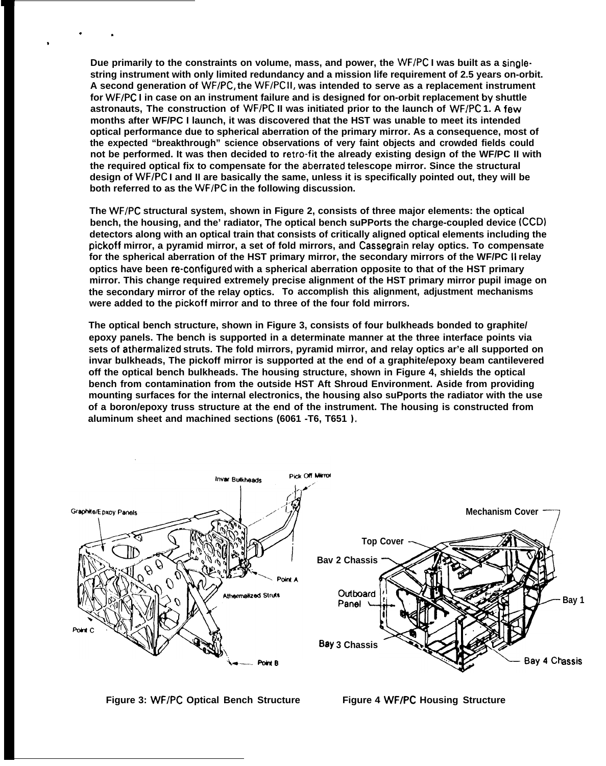**Due primarily to the constraints on volume, mass, and power, the WF/PC I was built as a singlestring instrument with only limited redundancy and a mission life requirement of 2.5 years on-orbit. A second generation of WF/PC, the WF/PC 11, was intended to serve as a replacement instrument for WF/PC I in case on an instrument failure and is designed for on-orbit replacement by shuttle astronauts, The construction of WF/PC II was initiated prior to the launch of WF/PC 1. A few months after WF/PC I launch, it was discovered that the HST was unable to meet its intended optical performance due to spherical aberration of the primary mirror. As a consequence, most of the expected "breakthrough" science observations of very faint objects and crowded fields could not be performed. It was then decided to retro-fit the already existing design of the WF/PC II with the required optical fix to compensate for the aberrated telescope mirror. Since the structural design of WF/PC I and II are basically the same, unless it is specifically pointed out, they will be both referred to as the WF/PC in the following discussion.**

 $\cdot$  .

.

**The WF/PC structural system, shown in Figure 2, consists of three major elements: the optical bench, the housing, and the' radiator, The optical bench suPPorts the charge-coupled device (CCD) detectors along with an optical train that consists of critically aligned optical elements including the pickoff mirror, a pyramid mirror, a set of fold mirrors, and Cassegrain relay optics. To compensate for the spherical aberration of the HST primary mirror, the secondary mirrors of the WF/PC II relay optics have been re-configured with a spherical aberration opposite to that of the HST primary mirror. This change required extremely precise alignment of the HST primary mirror pupil image on the secondary mirror of the relay optics. To accomplish this alignment, adjustment mechanisms were added to the pickoff mirror and to three of the four fold mirrors.**

**The optical bench structure, shown in Figure 3, consists of four bulkheads bonded to graphite/ epoxy panels. The bench is supported in a determinate manner at the three interface points via sets of athermalized struts. The fold mirrors, pyramid mirror, and relay optics ar'e all supported on invar bulkheads, The pickoff mirror is supported at the end of a graphite/epoxy beam cantilevered off the optical bench bulkheads. The housing structure, shown in Figure 4, shields the optical bench from contamination from the outside HST Aft Shroud Environment. Aside from providing mounting surfaces for the internal electronics, the housing also suPports the radiator with the use of a boron/epoxy truss structure at the end of the instrument. The housing is constructed from aluminum sheet and machined sections (6061 -T6, T651 ).**



**Figure 3: WF/PC Optical Bench Structure**

**Figure 4 WF/PC Housing Structure**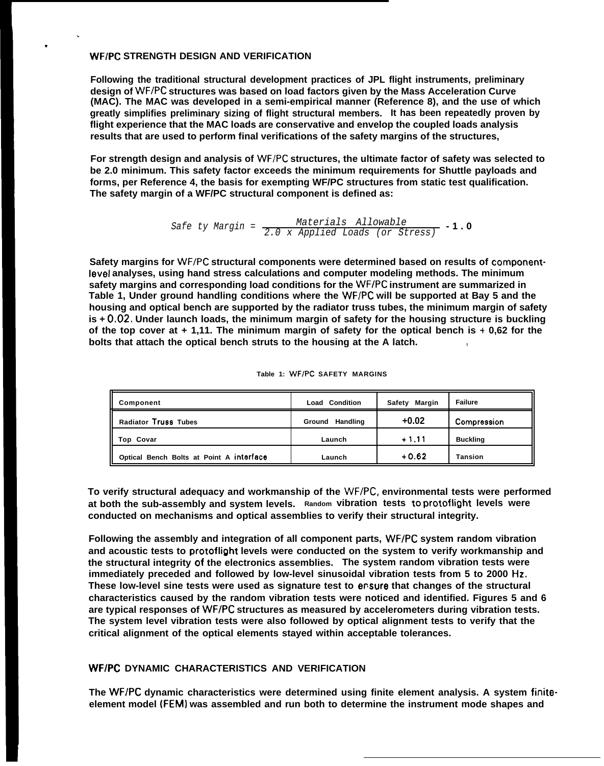#### **WF/PC STRENGTH DESIGN AND VERIFICATION**

.

.

**Following the traditional structural development practices of JPL flight instruments, preliminary** design of WF/PC structures was based on load factors given by the Mass Acceleration Curve **(MAC). The MAC was developed in a semi-empirical manner (Reference 8), and the use of which greatly simplifies preliminary sizing of flight structural members. It has been repeatedly proven by flight experience that the MAC loads are conservative and envelop the coupled loads analysis results that are used to perform final verifications of the safety margins of the structures,**

For strength design and analysis of WF/PC structures, the ultimate factor of safety was selected to **be 2.0 minimum. This safety factor exceeds the minimum requirements for Shuttle payloads and forms, per Reference 4, the basis for exempting WF/PC structures from static test qualification. The safety margin of a WF/PC structural component is defined as:**

Safe ty Margin = 
$$
\frac{\text{Materials} \quad \text{Allowable}}{2.0 \times \text{Applied \quad \text{loads} \quad \text{(or \quad \text{Stress})}} \cdot 1.0
$$

**Safety margins for WF/PC structural components were determined based on results of component-Ievel analyses, using hand stress calculations and computer modeling methods. The minimum safety margins and corresponding load conditions for the WF/PC instrument are summarized in Table 1, Under ground handling conditions where the WF/PC will be supported at Bay 5 and the housing and optical bench are supported by the radiator truss tubes, the minimum margin of safety is + 0,02, Under launch loads, the minimum margin of safety for the housing structure is buckling of the top cover at + 1,11. The minimum margin of safety for the optical bench is +- 0,62 for the bolts that attach the optical bench struts to the housing at the A latch. ,**

| Component                                | <b>Load Condition</b> | Margin<br>Safetv | <b>Failure</b>  |
|------------------------------------------|-----------------------|------------------|-----------------|
| Radiator Truss Tubes                     | Ground Handling       | $+0.02$          | Compression     |
| Top Covar                                | Launch                | $+1.11$          | <b>Buckling</b> |
| Optical Bench Bolts at Point A interface | Launch                | $+0.62$          | <b>Tansion</b>  |

| Table 1: WF/PC SAFETY MARGINS |  |  |  |  |  |
|-------------------------------|--|--|--|--|--|
|-------------------------------|--|--|--|--|--|

**To verify structural adequacy and workmanship of the WF/PC, environmental tests were performed at both the sub-assembly and system levels. Random vibration tests to protoflight levels were conducted on mechanisms and optical assemblies to verify their structural integrity.**

**Following the assembly and integration of all component parts, WF/PC system random vibration and acoustic tests to protoflight levels were conducted on the system to verify workmanship and the structural integrity of the electronics assemblies. The system random vibration tests were immediately preceded and followed by low-level sinusoidal vibration tests from 5 to 2000 Hz. These low-level sine tests were used as signature test to ensure that changes of the structural characteristics caused by the random vibration tests were noticed and identified. Figures 5 and 6 are typical responses of WF/PC structures as measured by accelerometers during vibration tests. The system level vibration tests were also followed by optical alignment tests to verify that the critical alignment of the optical elements stayed within acceptable tolerances.**

# **WF/PC DYNAMIC CHARACTERISTICS AND VERIFICATION**

**The WF/PC dynamic characteristics were determined using finite element analysis. A system finiteelement model (FEM) was assembled and run both to determine the instrument mode shapes and**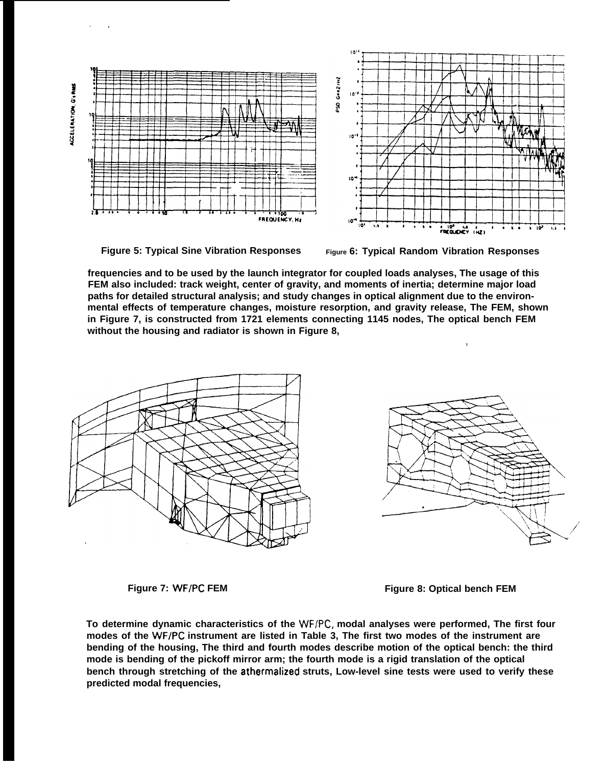ACCELERATION GIRMS

,,



**Figure 5: Typical Sine Vibration Responses Figure 6: Typical Random Vibration Responses**

**frequencies and to be used by the launch integrator for coupled loads analyses, The usage of this FEM also included: track weight, center of gravity, and moments of inertia; determine major load paths for detailed structural analysis; and study changes in optical alignment due to the environmental effects of temperature changes, moisture resorption, and gravity release, The FEM, shown in Figure 7, is constructed from 1721 elements connecting 1145 nodes, The optical bench FEM without the housing and radiator is shown in Figure 8,**





**,**

**Figure 7: WF/PC FEM Figure 8: Optical bench FEM**

**To determine dynamic characteristics of the WF/PC, modal analyses were performed, The first four modes of the WF/PC instrument are listed in Table 3, The first two modes of the instrument are bending of the housing, The third and fourth modes describe motion of the optical bench: the third mode is bending of the pickoff mirror arm; the fourth mode is a rigid translation of the optical bench through stretching of the athermalized struts, Low-level sine tests were used to verify these predicted modal frequencies,**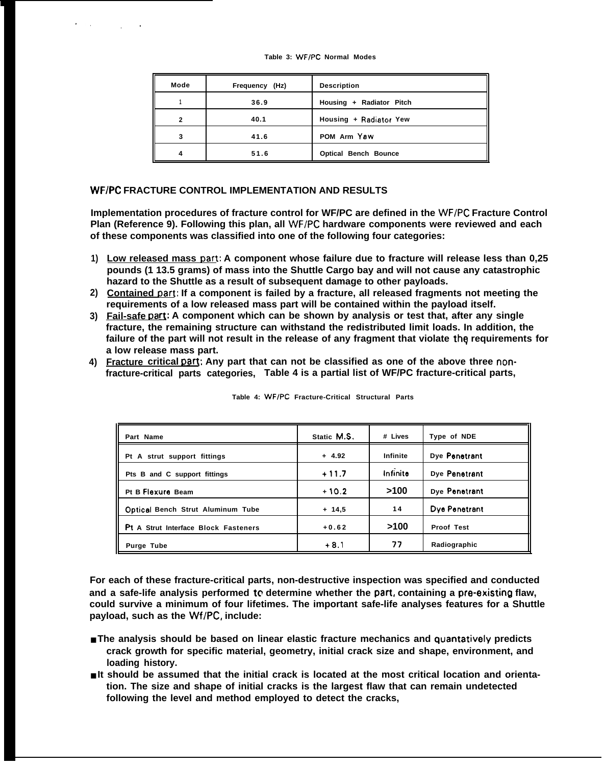| Mode           | Frequency (Hz) | <b>Description</b>          |
|----------------|----------------|-----------------------------|
|                | 36.9           | Housing + Radiator Pitch    |
| $\overline{2}$ | 40.1           | Housing + Radiator Yew      |
| 3              | 41.6           | POM Arm Yaw                 |
| 4              | 51.6           | <b>Optical Bench Bounce</b> |

#### **WF/PC FRACTURE CONTROL IMPLEMENTATION AND RESULTS**

.,

,,

**Implementation procedures of fracture control for WF/PC are defined in the WF/PC Fracture Control Plan (Reference 9). Following this plan, all WF/PC hardware components were reviewed and each of these components was classified into one of the following four categories:**

- 1) Low released mass part: A component whose failure due to fracture will release less than 0,25 **pounds (1 13.5 grams) of mass into the Shuttle Cargo bay and will not cause any catastrophic hazard to the Shuttle as a result of subsequent damage to other payloads.**
- **2) Contained Dart: If a component is failed by a fracture, all released fragments not meeting the requirements of a low released mass part will be contained within the payload itself.**
- 3) Eail-safe part: A component which can be shown by analysis or test that, after any single **fracture, the remaining structure can withstand the redistributed limit loads. In addition, the** failure of the part will not result in the release of any fragment that violate the requirements for **a low release mass part.**
- 4) Fracture critical part: Any part that can not be classified as one of the above three non**fracture-critical parts categories, Table 4 is a partial list of WF/PC fracture-critical parts,**

| Part Name                            | Static M.S. | # Lives  | Type of NDE   |
|--------------------------------------|-------------|----------|---------------|
| Pt A strut support fittings          | $+ 4.92$    | Infinite | Dye Penetrant |
| Pts B and C support fittings         | $+11.7$     | Infinite | Dye Penetrant |
| Pt B Flexure Beam                    | $+10.2$     | >100     | Dye Penetrant |
| Optical Bench Strut Aluminum Tube    | $+ 14.5$    | 14       | Dye Penetrant |
| Pt A Strut Interface Block Fasteners | $+0.62$     | >100     | Proof Test    |
| Purge Tube                           | $+8.1$      | 77       | Radiographic  |

**Table 4: WF/PC Fracture-Critical Structural Parts**

**For each of these fracture-critical parts, non-destructive inspection was specified and conducted and a safe-life analysis performed tc determine whether the pati, containing a pre-existing flaw, could survive a minimum of four lifetimes. The important safe-life analyses features for a Shuttle payload, such as the Wf/PC, include:**

- **The analysis should be based on linear elastic fracture mechanics and quantatively predicts crack growth for specific material, geometry, initial crack size and shape, environment, and loading history.**
- $\blacksquare$  **It should be assumed that the initial crack is located at the most critical location and orientation. The size and shape of initial cracks is the largest flaw that can remain undetected following the level and method employed to detect the cracks,**